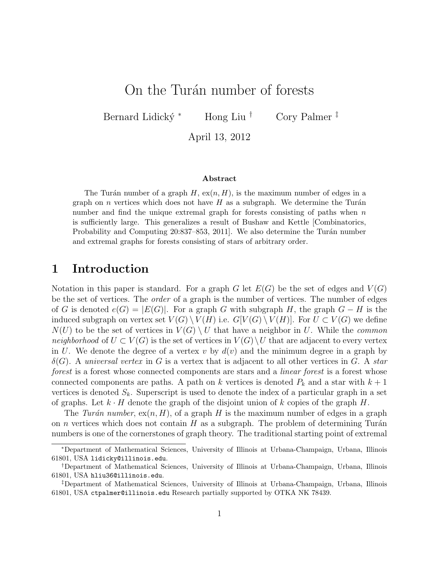# On the Turan number of forests

Bernard Lidický \* Hong Liu † Cory Palmer ‡

April 13, 2012

#### Abstract

The Turán number of a graph  $H$ ,  $ex(n, H)$ , is the maximum number of edges in a graph on n vertices which does not have  $H$  as a subgraph. We determine the Turán number and find the unique extremal graph for forests consisting of paths when  $n$ is sufficiently large. This generalizes a result of Bushaw and Kettle [Combinatorics, Probability and Computing 20:837–853, 2011. We also determine the Turán number and extremal graphs for forests consisting of stars of arbitrary order.

## 1 Introduction

Notation in this paper is standard. For a graph G let  $E(G)$  be the set of edges and  $V(G)$ be the set of vertices. The order of a graph is the number of vertices. The number of edges of G is denoted  $e(G) = |E(G)|$ . For a graph G with subgraph H, the graph  $G - H$  is the induced subgraph on vertex set  $V(G) \setminus V(H)$  i.e.  $G[V(G) \setminus V(H)]$ . For  $U \subset V(G)$  we define  $N(U)$  to be the set of vertices in  $V(G) \setminus U$  that have a neighbor in U. While the *common* neighborhood of  $U \subset V(G)$  is the set of vertices in  $V(G) \setminus U$  that are adjacent to every vertex in U. We denote the degree of a vertex v by  $d(v)$  and the minimum degree in a graph by  $\delta(G)$ . A universal vertex in G is a vertex that is adjacent to all other vertices in G. A star forest is a forest whose connected components are stars and a *linear forest* is a forest whose connected components are paths. A path on k vertices is denoted  $P_k$  and a star with  $k+1$ vertices is denoted  $S_k$ . Superscript is used to denote the index of a particular graph in a set of graphs. Let  $k \cdot H$  denote the graph of the disjoint union of k copies of the graph H.

The Turán number,  $ex(n, H)$ , of a graph H is the maximum number of edges in a graph on *n* vertices which does not contain  $H$  as a subgraph. The problem of determining Turán numbers is one of the cornerstones of graph theory. The traditional starting point of extremal

<sup>∗</sup>Department of Mathematical Sciences, University of Illinois at Urbana-Champaign, Urbana, Illinois 61801, USA lidicky@illinois.edu.

<sup>†</sup>Department of Mathematical Sciences, University of Illinois at Urbana-Champaign, Urbana, Illinois 61801, USA hliu36@illinois.edu.

<sup>‡</sup>Department of Mathematical Sciences, University of Illinois at Urbana-Champaign, Urbana, Illinois 61801, USA ctpalmer@illinois.edu Research partially supported by OTKA NK 78439.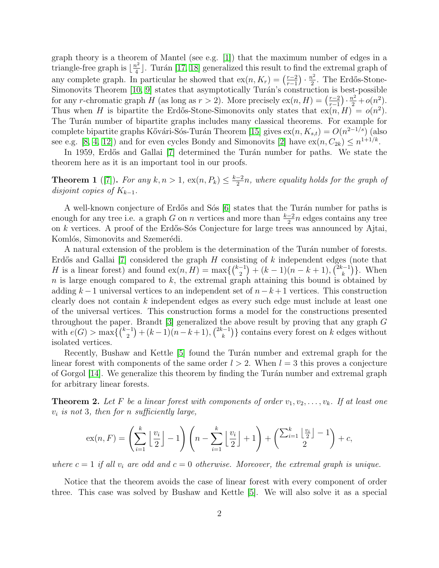graph theory is a theorem of Mantel (see e.g. [\[1\]](#page-12-0)) that the maximum number of edges in a triangle-free graph is  $\lfloor \frac{n^2}{4} \rfloor$  $\frac{a^2}{4}$ . Turán [\[17,](#page-13-0) [18\]](#page-13-1) generalized this result to find the extremal graph of any complete graph. In particular he showed that  $ex(n, K_r) = \left(\frac{r-2}{r-1}\right)^r$  $\frac{r-2}{r-1}$ )  $\cdot \frac{n^2}{2}$  $\frac{v^2}{2}$ . The Erdős-Stone-Simonovits Theorem  $[10, 9]$  $[10, 9]$  states that asymptotically Turán's construction is best-possible for any r-chromatic graph H (as long as  $r > 2$ ). More precisely  $ex(n, H) = \left(\frac{r-2}{r-1}\right)$  $\frac{(r-2)}{(r-1)} \cdot \frac{n^2}{2} + o(n^2).$ Thus when H is bipartite the Erdős-Stone-Simonovits only states that  $ex(n, H) = o(n^2)$ . The Turán number of bipartite graphs includes many classical theorems. For example for complete bipartite graphs Kővári-Sós-Turán Theorem [\[15\]](#page-13-3) gives  $ex(n, K_{s,t}) = O(n^{2-1/s})$  (also see e.g. [\[8,](#page-12-2) [4,](#page-12-3) [12\]](#page-13-4)) and for even cycles Bondy and Simonovits [\[2\]](#page-12-4) have  $ex(n, C_{2k}) \le n^{1+1/k}$ .

In 1959, Erdős and Gallai [\[7\]](#page-12-5) determined the Turán number for paths. We state the theorem here as it is an important tool in our proofs.

<span id="page-1-1"></span>**Theorem 1** ([\[7\]](#page-12-5)). For any  $k, n > 1$ ,  $ex(n, P_k) \leq \frac{k-2}{2}n$ , where equality holds for the graph of disjoint copies of  $K_{k-1}$ .

A well-known conjecture of Erdős and Sós [\[6\]](#page-12-6) states that the Turán number for paths is enough for any tree i.e. a graph G on n vertices and more than  $\frac{k-2}{2}n$  edges contains any tree on  $k$  vertices. A proof of the Erdős-Sós Conjecture for large trees was announced by Ajtai, Komlós, Simonovits and Szemerédi.

A natural extension of the problem is the determination of the Turán number of forests. Erdős and Gallai  $[7]$  considered the graph H consisting of k independent edges (note that *H* is a linear forest) and found  $ex(n, H) = max({k-1 \choose 2} + (k-1)(n-k+1), {2k-1 \choose k}$ . When n is large enough compared to  $k$ , the extremal graph attaining this bound is obtained by adding  $k-1$  universal vertices to an independent set of  $n-k+1$  vertices. This construction clearly does not contain k independent edges as every such edge must include at least one of the universal vertices. This construction forms a model for the constructions presented throughout the paper. Brandt  $[3]$  generalized the above result by proving that any graph  $G$ with  $e(G) > \max\left\{\binom{k-1}{2} + (k-1)(n-k+1), \binom{2k-1}{k}\right\}$  contains every forest on k edges without isolated vertices.

Recently, Bushaw and Kettle [\[5\]](#page-12-8) found the Turán number and extremal graph for the linear forest with components of the same order  $l > 2$ . When  $l = 3$  this proves a conjecture of Gorgol [\[14\]](#page-13-5). We generalize this theorem by finding the Tur´an number and extremal graph for arbitrary linear forests.

<span id="page-1-0"></span>**Theorem 2.** Let F be a linear forest with components of order  $v_1, v_2, \ldots, v_k$ . If at least one  $v_i$  is not 3, then for n sufficiently large,

$$
ex(n,F) = \left(\sum_{i=1}^k \left\lfloor \frac{v_i}{2} \right\rfloor - 1\right) \left(n - \sum_{i=1}^k \left\lfloor \frac{v_i}{2} \right\rfloor + 1\right) + \left(\sum_{i=1}^k \left\lfloor \frac{v_i}{2} \right\rfloor - 1\right) + c,
$$

where  $c = 1$  if all  $v_i$  are odd and  $c = 0$  otherwise. Moreover, the extremal graph is unique.

Notice that the theorem avoids the case of linear forest with every component of order three. This case was solved by Bushaw and Kettle [\[5\]](#page-12-8). We will also solve it as a special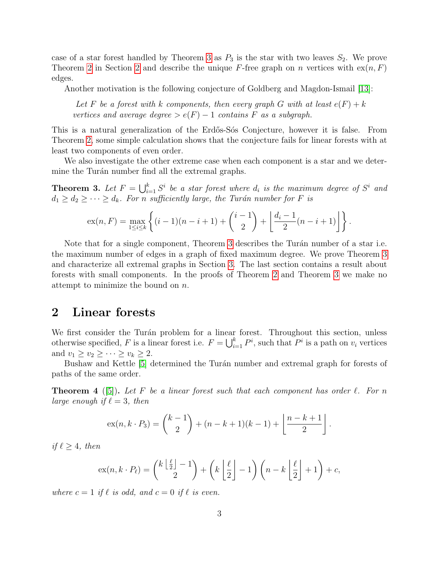case of a star forest handled by Theorem [3](#page-2-0) as  $P_3$  is the star with two leaves  $S_2$ . We prove Theorem [2](#page-2-1) in Section 2 and describe the unique F-free graph on n vertices with  $ex(n, F)$ edges.

Another motivation is the following conjecture of Goldberg and Magdon-Ismail [\[13\]](#page-13-6):

Let F be a forest with k components, then every graph G with at least  $e(F) + k$ vertices and average degree >  $e(F) - 1$  contains F as a subgraph.

This is a natural generalization of the Erdős-Sós Conjecture, however it is false. From Theorem [2,](#page-1-0) some simple calculation shows that the conjecture fails for linear forests with at least two components of even order.

We also investigate the other extreme case when each component is a star and we determine the Turán number find all the extremal graphs.

<span id="page-2-0"></span>**Theorem 3.** Let  $F = \bigcup_{i=1}^k S^i$  be a star forest where  $d_i$  is the maximum degree of  $S^i$  and  $d_1 \geq d_2 \geq \cdots \geq d_k$ . For n sufficiently large, the Turán number for F is

$$
ex(n, F) = \max_{1 \leq i \leq k} \left\{ (i-1)(n-i+1) + {i-1 \choose 2} + \left\lfloor \frac{d_i-1}{2}(n-i+1) \right\rfloor \right\}.
$$

Note that for a single component, Theorem [3](#page-2-0) describes the Turán number of a star i.e. the maximum number of edges in a graph of fixed maximum degree. We prove Theorem [3](#page-2-0) and characterize all extremal graphs in Section [3.](#page-7-0) The last section contains a result about forests with small components. In the proofs of Theorem [2](#page-1-0) and Theorem [3](#page-2-0) we make no attempt to minimize the bound on n.

## <span id="page-2-1"></span>2 Linear forests

We first consider the Turán problem for a linear forest. Throughout this section, unless otherwise specified, F is a linear forest i.e.  $F = \bigcup_{i=1}^{k} P^i$ , such that  $P^i$  is a path on  $v_i$  vertices and  $v_1 \ge v_2 \ge \cdots \ge v_k \ge 2$ .

Bushaw and Kettle [\[5\]](#page-12-8) determined the Turán number and extremal graph for forests of paths of the same order.

<span id="page-2-2"></span>**Theorem 4** ([\[5\]](#page-12-8)). Let F be a linear forest such that each component has order  $\ell$ . For n large enough if  $\ell = 3$ , then

$$
ex(n, k \cdot P_3) = {k-1 \choose 2} + (n - k + 1)(k - 1) + \left\lfloor \frac{n - k + 1}{2} \right\rfloor.
$$

if  $\ell \geq 4$ , then

$$
\mathrm{ex}(n,k\cdot P_\ell) = \binom{k\left\lfloor \frac{\ell}{2} \right\rfloor - 1}{2} + \left(k\left\lfloor \frac{\ell}{2} \right\rfloor - 1\right)\left(n - k\left\lfloor \frac{\ell}{2} \right\rfloor + 1\right) + c,
$$

where  $c = 1$  if  $\ell$  is odd, and  $c = 0$  if  $\ell$  is even.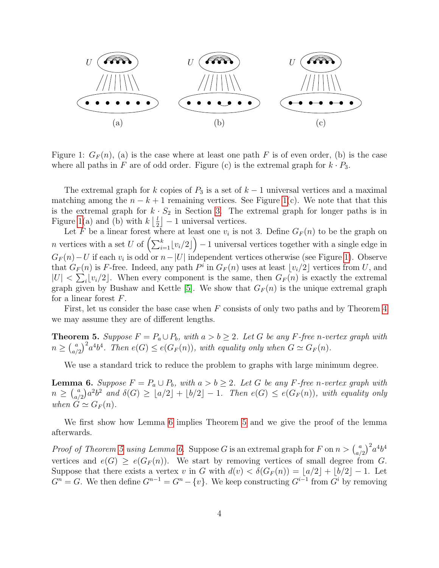

<span id="page-3-0"></span>Figure 1:  $G_F(n)$ , (a) is the case where at least one path F is of even order, (b) is the case where all paths in F are of odd order. Figure (c) is the extremal graph for  $k \cdot P_3$ .

The extremal graph for k copies of  $P_3$  is a set of  $k-1$  universal vertices and a maximal matching among the  $n - k + 1$  remaining vertices. See Figure [1\(](#page-3-0)c). We note that that this is the extremal graph for  $k \cdot S_2$  in Section [3.](#page-7-0) The extremal graph for longer paths is in Figure [1\(](#page-3-0)a) and (b) with  $k \frac{1}{2}$  $\lfloor \frac{l}{2} \rfloor - 1$  universal vertices.

Let F be a linear forest where at least one  $v_i$  is not 3. Define  $G_F(n)$  to be the graph on n vertices with a set U of  $\left(\sum_{i=1}^{k} \lfloor v_i/2 \rfloor\right) - 1$  universal vertices together with a single edge in  $G_F(n) - U$  if each  $v_i$  is odd or  $n-|U|$  independent vertices otherwise (see Figure [1\)](#page-3-0). Observe that  $G_F(n)$  is F-free. Indeed, any path  $P^i$  in  $G_F(n)$  uses at least  $\lfloor v_i/2 \rfloor$  vertices from U, and  $|U| < \sum_i \lfloor v_i/2 \rfloor$ . When every component is the same, then  $G_F(n)$  is exactly the extremal graph given by Bushaw and Kettle [\[5\]](#page-12-8). We show that  $G_F(n)$  is the unique extremal graph for a linear forest  $F$ .

First, let us consider the base case when  $F$  consists of only two paths and by Theorem  $4$ we may assume they are of different lengths.

<span id="page-3-2"></span>**Theorem 5.** Suppose  $F = P_a \cup P_b$ , with  $a > b \geq 2$ . Let G be any F-free n-vertex graph with  $n \geq {a \choose a}$  $\binom{a}{a/2}^2 a^4 b^4$ . Then  $e(G) \leq e(G_F(n))$ , with equality only when  $G \simeq G_F(n)$ .

We use a standard trick to reduce the problem to graphs with large minimum degree.

<span id="page-3-1"></span>**Lemma 6.** Suppose  $F = P_a \cup P_b$ , with  $a > b \ge 2$ . Let G be any F-free n-vertex graph with  $n \geq {a \choose a}$  $\binom{a}{a/2}a^2b^2$  and  $\delta(G) \geq \lfloor a/2 \rfloor + \lfloor b/2 \rfloor - 1$ . Then  $e(G) \leq e(G_F(n))$ , with equality only when  $G \simeq G_F(n)$ .

We first show how Lemma [6](#page-3-1) implies Theorem [5](#page-3-2) and we give the proof of the lemma afterwards.

*Proof of Theorem [5](#page-3-2) using Lemma [6.](#page-3-1)* Suppose G is an extremal graph for F on  $n > \binom{a}{a}$  $(a_{a/2}^a)^2 a^4 b^4$ vertices and  $e(G) \geq e(G_F(n))$ . We start by removing vertices of small degree from G. Suppose that there exists a vertex v in G with  $d(v) < \delta(G_F(n)) = |a/2| + |b/2| - 1$ . Let  $G^n = G$ . We then define  $G^{n-1} = G^n - \{v\}$ . We keep constructing  $G^{i-1}$  from  $G^i$  by removing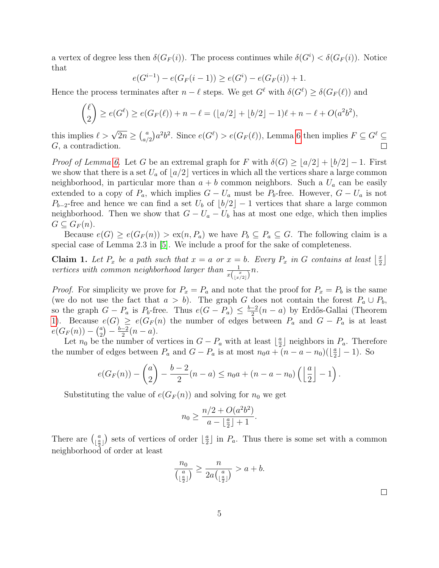a vertex of degree less then  $\delta(G_F(i))$ . The process continues while  $\delta(G^i) < \delta(G_F(i))$ . Notice that

$$
e(G^{i-1}) - e(G_F(i-1)) \ge e(G^i) - e(G_F(i)) + 1.
$$

Hence the process terminates after  $n - \ell$  steps. We get  $G^{\ell}$  with  $\delta(G^{\ell}) \geq \delta(G_F(\ell))$  and

$$
\binom{\ell}{2} \ge e(G^{\ell}) \ge e(G_F(\ell)) + n - \ell = (\lfloor a/2 \rfloor + \lfloor b/2 \rfloor - 1)\ell + n - \ell + O(a^2b^2),
$$

this implies  $\ell > \sqrt{2n} \geq {a \choose a}$  $a_{a/2}^a$ ) $a^2b^2$ . Since  $e(G^{\ell}) > e(G_F(\ell))$ , Lemma [6](#page-3-1) then implies  $F \subseteq G^{\ell} \subseteq$ G, a contradiction.

Proof of Lemma [6.](#page-3-1) Let G be an extremal graph for F with  $\delta(G) \geq |a/2| + |b/2| - 1$ . First we show that there is a set  $U_a$  of  $|a/2|$  vertices in which all the vertices share a large common neighborhood, in particular more than  $a + b$  common neighbors. Such a  $U_a$  can be easily extended to a copy of  $P_a$ , which implies  $G - U_a$  must be  $P_b$ -free. However,  $G - U_a$  is not  $P_{b-2}$ -free and hence we can find a set  $U_b$  of  $\lfloor b/2 \rfloor - 1$  vertices that share a large common neighborhood. Then we show that  $G - U_a - U_b$  has at most one edge, which then implies  $G \subseteq G_F(n)$ .

Because  $e(G) \ge e(G_F(n)) > \text{ex}(n, P_a)$  we have  $P_b \subseteq P_a \subseteq G$ . The following claim is a special case of Lemma 2.3 in [\[5\]](#page-12-8). We include a proof for the sake of completeness.

<span id="page-4-0"></span>**Claim 1.** Let  $P_x$  be a path such that  $x = a$  or  $x = b$ . Every  $P_x$  in G contains at least  $\left\lfloor \frac{x}{2} \right\rfloor$  $\frac{x}{2}$ vertices with common neighborhood larger than  $\frac{1}{x\left(\lfloor \frac{x}{x/2} \rfloor\right)} n$ .

*Proof.* For simplicity we prove for  $P_x = P_a$  and note that the proof for  $P_x = P_b$  is the same (we do not use the fact that  $a > b$ ). The graph G does not contain the forest  $P_a \cup P_b$ , so the graph  $G - P_a$  is  $P_b$ -free. Thus  $e(G - P_a) \leq \frac{b-2}{2}(n-a)$  by Erdős-Gallai (Theorem [1\)](#page-1-1). Because  $e(G) \geq e(G_F(n))$  the number of edges between  $P_a$  and  $G - P_a$  is at least  $e(G_F(n)) - {a \choose 2}$  $\binom{a}{2} - \frac{b-2}{2}(n-a).$ 

Let  $n_0$  be the number of vertices in  $G - P_a$  with at least  $\lfloor \frac{a}{2} \rfloor$  $\frac{a}{2}$  neighbors in  $P_a$ . Therefore the number of edges between  $P_a$  and  $G - P_a$  is at most  $n_0 a + (n - a - n_0)(\frac{a}{2})$  $\frac{a}{2}$ ] – 1). So

$$
e(G_F(n)) - \binom{a}{2} - \frac{b-2}{2}(n-a) \le n_0 a + (n-a-n_0) \left( \left\lfloor \frac{a}{2} \right\rfloor - 1 \right).
$$

Substituting the value of  $e(G_F(n))$  and solving for  $n_0$  we get

$$
n_0 \ge \frac{n/2 + O(a^2b^2)}{a - \lfloor \frac{a}{2} \rfloor + 1}.
$$

There are  $\binom{a}{a}$  $\begin{pmatrix} a \\ \frac{a}{2} \end{pmatrix}$  sets of vertices of order  $\begin{pmatrix} \frac{a}{2} \end{pmatrix}$  $\frac{a}{2}$  in  $P_a$ . Thus there is some set with a common neighborhood of order at least

$$
\frac{n_0}{\binom{a}{\lfloor \frac{a}{2} \rfloor}} \ge \frac{n}{2a\binom{a}{\lfloor \frac{a}{2} \rfloor}} > a+b.
$$

 $\Box$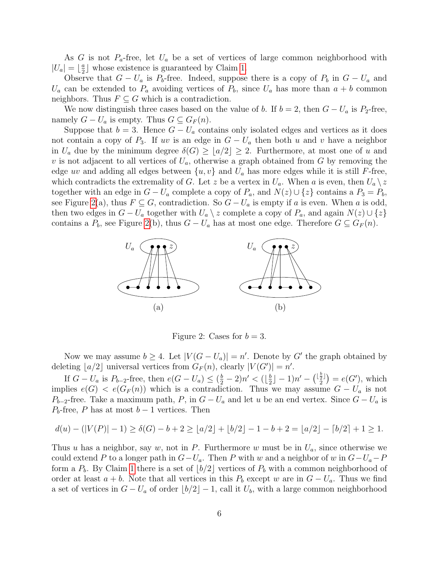As G is not  $P_a$ -free, let  $U_a$  be a set of vertices of large common neighborhood with  $|U_a| = \lfloor \frac{a}{2} \rfloor$  $\frac{a}{2}$  whose existence is guaranteed by Claim [1.](#page-4-0)

Observe that  $G - U_a$  is  $P_b$ -free. Indeed, suppose there is a copy of  $P_b$  in  $G - U_a$  and  $U_a$  can be extended to  $P_a$  avoiding vertices of  $P_b$ , since  $U_a$  has more than  $a + b$  common neighbors. Thus  $F \subseteq G$  which is a contradiction.

We now distinguish three cases based on the value of b. If  $b = 2$ , then  $G - U_a$  is  $P_2$ -free, namely  $G - U_a$  is empty. Thus  $G \subseteq G_F(n)$ .

Suppose that  $b = 3$ . Hence  $G - U_a$  contains only isolated edges and vertices as it does not contain a copy of  $P_3$ . If uv is an edge in  $G - U_a$  then both u and v have a neighbor in  $U_a$  due by the minimum degree  $\delta(G) \geq |a/2| \geq 2$ . Furthermore, at most one of u and v is not adjacent to all vertices of  $U_a$ , otherwise a graph obtained from G by removing the edge uv and adding all edges between  $\{u, v\}$  and  $U_a$  has more edges while it is still F-free, which contradicts the extremality of G. Let z be a vertex in  $U_a$ . When a is even, then  $U_a \setminus z$ together with an edge in  $G - U_a$  complete a copy of  $P_a$ , and  $N(z) \cup \{z\}$  contains a  $P_3 = P_b$ , see Figure [2\(](#page-5-0)a), thus  $F \subseteq G$ , contradiction. So  $G - U_a$  is empty if a is even. When a is odd, then two edges in  $G - U_a$  together with  $U_a \setminus z$  complete a copy of  $P_a$ , and again  $N(z) \cup \{z\}$ contains a  $P_b$ , see Figure [2\(](#page-5-0)b), thus  $G - U_a$  has at most one edge. Therefore  $G \subseteq G_F(n)$ .



<span id="page-5-0"></span>Figure 2: Cases for  $b = 3$ .

Now we may assume  $b \geq 4$ . Let  $|V(G - U_a)| = n'$ . Denote by G' the graph obtained by deleting  $\lfloor a/2 \rfloor$  universal vertices from  $G_F(n)$ , clearly  $|V(G')| = n'$ .

If  $G - U_a$  is  $P_{b-2}$ -free, then  $e(G - U_a) \leq (\frac{b}{2} - 2)n' < (\lfloor \frac{b}{2} \rfloor)$  $\frac{b}{2} \rfloor - 1)n' - \binom{\lfloor \frac{b}{2} \rfloor}{2} = e(G'),$  which implies  $e(G) < e(G_F(n))$  which is a contradiction. Thus we may assume  $G - U_a$  is not  $P_{b-2}$ -free. Take a maximum path, P, in  $G - U_a$  and let u be an end vertex. Since  $G - U_a$  is  $P_b$ -free, P has at most  $b-1$  vertices. Then

$$
d(u) - (|V(P)| - 1) \ge \delta(G) - b + 2 \ge \lfloor a/2 \rfloor + \lfloor b/2 \rfloor - 1 - b + 2 = \lfloor a/2 \rfloor - \lceil b/2 \rceil + 1 \ge 1.
$$

Thus u has a neighbor, say w, not in P. Furthermore w must be in  $U_a$ , since otherwise we could extend P to a longer path in  $G-U_a$ . Then P with w and a neighbor of w in  $G-U_a-P$ form a  $P_b$ . By Claim [1](#page-4-0) there is a set of  $\lfloor b/2 \rfloor$  vertices of  $P_b$  with a common neighborhood of order at least  $a + b$ . Note that all vertices in this  $P_b$  except w are in  $G - U_a$ . Thus we find a set of vertices in  $G - U_a$  of order  $|b/2| - 1$ , call it  $U_b$ , with a large common neighborhood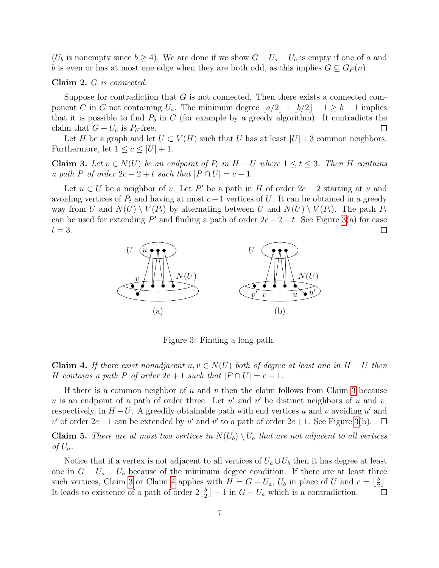$(U_b$  is nonempty since  $b \geq 4$ ). We are done if we show  $G - U_a - U_b$  is empty if one of a and b is even or has at most one edge when they are both odd, as this implies  $G \subseteq G_F(n)$ .

### Claim 2. G is connected.

Suppose for contradiction that  $G$  is not connected. Then there exists a connected component C in G not containing  $U_a$ . The minimum degree  $|a/2| + |b/2| - 1 \ge b - 1$  implies that it is possible to find  $P_b$  in C (for example by a greedy algorithm). It contradicts the claim that  $G - U_a$  is  $P_b$ -free.  $\Box$ 

Let H be a graph and let  $U \subset V(H)$  such that U has at least  $|U|+3$  common neighbors. Furthermore, let  $1 \leq c \leq |U| + 1$ .

<span id="page-6-1"></span>**Claim 3.** Let  $v \in N(U)$  be an endpoint of  $P_t$  in  $H - U$  where  $1 \le t \le 3$ . Then H contains a path P of order  $2c - 2 + t$  such that  $|P \cap U| = c - 1$ .

Let  $u \in U$  be a neighbor of v. Let P' be a path in H of order  $2c - 2$  starting at u and avoiding vertices of  $P_t$  and having at most  $c-1$  vertices of U. It can be obtained in a greedy way from U and  $N(U) \setminus V(P_t)$  by alternating between U and  $N(U) \setminus V(P_t)$ . The path  $P_t$ can be used for extending  $P'$  and finding a path of order  $2c - 2 + t$ . See Figure [3\(](#page-6-0)a) for case  $t=3$ .



<span id="page-6-0"></span>Figure 3: Finding a long path.

<span id="page-6-2"></span>**Claim 4.** If there exist nonadjacent u,  $v \in N(U)$  both of degree at least one in  $H-U$  then H contains a path P of order  $2c + 1$  such that  $|P \cap U| = c - 1$ .

If there is a common neighbor of  $u$  and  $v$  then the claim follows from Claim [3](#page-6-1) because u is an endpoint of a path of order three. Let  $u'$  and  $v'$  be distinct neighbors of u and v, respectively, in  $H-U$ . A greedily obtainable path with end vertices u and v avoiding u' and v' of order  $2c-1$  can be extended by u' and v' to a path of order  $2c+1$ . See Figure [3\(](#page-6-0)b).  $\Box$ 

**Claim 5.** There are at most two vertices in  $N(U_b) \setminus U_a$  that are not adjacent to all vertices of  $U_a$ .

Notice that if a vertex is not adjacent to all vertices of  $U_a \cup U_b$  then it has degree at least one in  $G - U_a - U_b$  because of the minimum degree condition. If there are at least three such vertices, Claim [3](#page-6-1) or Claim [4](#page-6-2) applies with  $H = G - U_a$ ,  $U_b$  in place of U and  $c = \lfloor \frac{b}{2} \rfloor$  $rac{b}{2}$ . It leads to existence of a path of order  $2\lfloor\frac{b}{2}\rfloor$  $\frac{b}{2}$  + 1 in  $G - U_a$  which is a contradiction.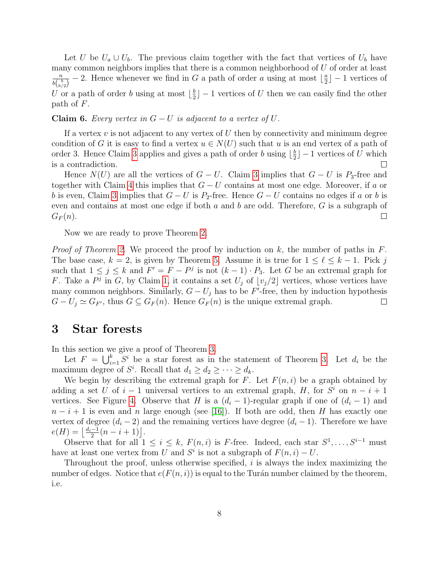Let U be  $U_a \cup U_b$ . The previous claim together with the fact that vertices of  $U_b$  have many common neighbors implies that there is a common neighborhood of  $U$  of order at least  $\overline{n}$  $\frac{n}{b\binom{b}{b/2}}$  – 2. Hence whenever we find in G a path of order a using at most  $\lfloor \frac{a}{2} \rfloor$  $\frac{a}{2}$ ] – 1 vertices of U or a path of order b using at most  $\lfloor \frac{b}{2} \rfloor$  $\frac{b}{2}$  – 1 vertices of U then we can easily find the other path of F.

**Claim 6.** Every vertex in  $G-U$  is adjacent to a vertex of  $U$ .

If a vertex  $v$  is not adjacent to any vertex of  $U$  then by connectivity and minimum degree condition of G it is easy to find a vertex  $u \in N(U)$  such that u is an end vertex of a path of order [3](#page-6-1). Hence Claim 3 applies and gives a path of order b using  $\lfloor \frac{b}{2} \rfloor$  $\frac{b}{2}$ ] – 1 vertices of U which is a contradiction.

Hence  $N(U)$  are all the vertices of  $G - U$ . Claim [3](#page-6-1) implies that  $G - U$  is P<sub>3</sub>-free and together with Claim [4](#page-6-2) this implies that  $G-U$  contains at most one edge. Moreover, if a or b is even, Claim [3](#page-6-1) implies that  $G - U$  is P<sub>2</sub>-free. Hence  $G - U$  contains no edges if a or b is even and contains at most one edge if both  $a$  and  $b$  are odd. Therefore,  $G$  is a subgraph of  $G_F(n)$ .  $\Box$ 

Now we are ready to prove Theorem [2.](#page-1-0)

*Proof of Theorem [2.](#page-1-0)* We proceed the proof by induction on k, the number of paths in F. The base case,  $k = 2$ , is given by Theorem [5.](#page-3-2) Assume it is true for  $1 \leq \ell \leq k - 1$ . Pick j such that  $1 \leq j \leq k$  and  $F' = F - P^j$  is not  $(k-1) \cdot P_3$ . Let G be an extremal graph for F. Take a  $P^j$  in G, by Claim [1,](#page-4-0) it contains a set  $U_j$  of  $\lfloor v_j/2 \rfloor$  vertices, whose vertices have many common neighbors. Similarly,  $G - U_j$  has to be F'-free, then by induction hypothesis  $G-U_j \simeq G_{F'}$ , thus  $G \subseteq G_F(n)$ . Hence  $G_F(n)$  is the unique extremal graph.  $\Box$ 

## <span id="page-7-0"></span>3 Star forests

In this section we give a proof of Theorem [3.](#page-2-0)

Let  $F = \bigcup_{i=1}^{k} S^i$  be a star forest as in the statement of Theorem [3.](#page-2-0) Let  $d_i$  be the maximum degree of  $S^i$ . Recall that  $d_1 \geq d_2 \geq \cdots \geq d_k$ .

We begin by describing the extremal graph for F. Let  $F(n, i)$  be a graph obtained by adding a set U of  $i-1$  universal vertices to an extremal graph, H, for  $S^i$  on  $n-i+1$ vertices. See Figure [4.](#page-8-0) Observe that H is a  $(d_i - 1)$ -regular graph if one of  $(d_i - 1)$  and  $n-i+1$  is even and n large enough (see [\[16\]](#page-13-7)). If both are odd, then H has exactly one vertex of degree  $(d_i - 2)$  and the remaining vertices have degree  $(d_i - 1)$ . Therefore we have  $e(H) = \left\lfloor \frac{d_i - 1}{2}(n - i + 1) \right\rfloor.$ 

Observe that for all  $1 \leq i \leq k$ ,  $F(n,i)$  is F-free. Indeed, each star  $S^1, \ldots, S^{i-1}$  must have at least one vertex from U and  $S^i$  is not a subgraph of  $F(n, i) - U$ .

Throughout the proof, unless otherwise specified, i is always the index maximizing the number of edges. Notice that  $e(F(n, i))$  is equal to the Turán number claimed by the theorem, i.e.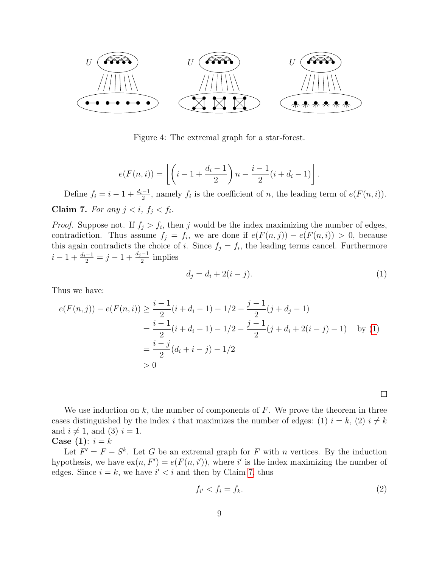

<span id="page-8-0"></span>Figure 4: The extremal graph for a star-forest.

$$
e(F(n,i)) = \left\lfloor \left(i-1+\frac{d_i-1}{2}\right)n - \frac{i-1}{2}(i+d_i-1)\right\rfloor.
$$

<span id="page-8-2"></span>Define  $f_i = i - 1 + \frac{d_i - 1}{2}$ , namely  $f_i$  is the coefficient of n, the leading term of  $e(F(n, i))$ . Claim 7. For any  $j < i$ ,  $f_j < f_i$ .

*Proof.* Suppose not. If  $f_j > f_i$ , then j would be the index maximizing the number of edges, contradiction. Thus assume  $f_j = f_i$ , we are done if  $e(F(n, j)) - e(F(n, i)) > 0$ , because this again contradicts the choice of i. Since  $f_j = f_i$ , the leading terms cancel. Furthermore  $i-1+\frac{d_i-1}{2}=j-1+\frac{d_j-1}{2}$  implies

$$
d_j = d_i + 2(i - j).
$$
 (1)

Thus we have:

$$
e(F(n,j)) - e(F(n,i)) \ge \frac{i-1}{2}(i+d_i-1) - 1/2 - \frac{j-1}{2}(j+d_j-1)
$$
  
= 
$$
\frac{i-1}{2}(i+d_i-1) - 1/2 - \frac{j-1}{2}(j+d_i+2(i-j)-1)
$$
 by (1)  
= 
$$
\frac{i-j}{2}(d_i+i-j) - 1/2
$$
  
> 0

<span id="page-8-3"></span><span id="page-8-1"></span> $\Box$ 

We use induction on  $k$ , the number of components of  $F$ . We prove the theorem in three cases distinguished by the index i that maximizes the number of edges: (1)  $i = k$ , (2)  $i \neq k$ and  $i \neq 1$ , and (3)  $i = 1$ .

### Case (1):  $i = k$

Let  $F' = F - S^k$ . Let G be an extremal graph for F with n vertices. By the induction hypothesis, we have  $ex(n, F') = e(F(n, i'))$ , where i' is the index maximizing the number of edges. Since  $i = k$ , we have  $i' < i$  and then by Claim [7,](#page-8-2) thus

$$
f_{i'} < f_i = f_k. \tag{2}
$$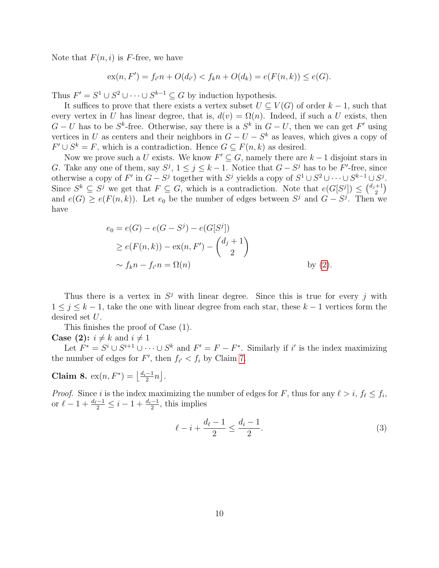Note that  $F(n, i)$  is F-free, we have

$$
ex(n, F') = f_{i'}n + O(d_{i'}) < f_kn + O(d_k) = e(F(n, k)) \le e(G).
$$

Thus  $F' = S^1 \cup S^2 \cup \cdots \cup S^{k-1} \subseteq G$  by induction hypothesis.

It suffices to prove that there exists a vertex subset  $U \subseteq V(G)$  of order  $k-1$ , such that every vertex in U has linear degree, that is,  $d(v) = \Omega(n)$ . Indeed, if such a U exists, then  $G-U$  has to be  $S^k$ -free. Otherwise, say there is a  $S^k$  in  $G-U$ , then we can get  $F'$  using vertices in U as centers and their neighbors in  $G - U - S^k$  as leaves, which gives a copy of  $F' \cup S^k = F$ , which is a contradiction. Hence  $G \subseteq F(n, k)$  as desired.

Now we prove such a U exists. We know  $F' \subseteq G$ , namely there are  $k-1$  disjoint stars in G. Take any one of them, say  $S^j$ ,  $1 \le j \le k-1$ . Notice that  $G - S^j$  has to be F'-free, since otherwise a copy of  $F'$  in  $G - S^j$  together with  $S^j$  yields a copy of  $S^1 \cup S^2 \cup \cdots \cup S^{k-1} \cup S^j$ . Since  $S^k \subseteq S^j$  we get that  $F \subseteq G$ , which is a contradiction. Note that  $e(G[S^j]) \leq {d_j+1 \choose 2}$  $_{2}^{+1})$ and  $e(G) \ge e(F(n,k))$ . Let  $e_0$  be the number of edges between  $S^j$  and  $G - S^j$ . Then we have

$$
e_0 = e(G) - e(G - S^j) - e(G[S^j])
$$
  
\n
$$
\geq e(F(n, k)) - \exp(n, F') - {d_j + 1 \choose 2}
$$
  
\n
$$
\sim f_k n - f_{i'} n = \Omega(n)
$$
 by (2).

Thus there is a vertex in  $S^j$  with linear degree. Since this is true for every j with  $1 \leq j \leq k-1$ , take the one with linear degree from each star, these  $k-1$  vertices form the desired set U.

This finishes the proof of Case (1).

#### **Case** (2):  $i \neq k$  and  $i \neq 1$

Let  $F^* = S^i \cup S^{i+1} \cup \cdots \cup S^k$  and  $F' = F - F^*$ . Similarly if i' is the index maximizing the number of edges for  $F'$ , then  $f_{i'} < f_i$  by Claim [7.](#page-8-2)

<span id="page-9-1"></span>**Claim 8.**  $ex(n, F^*) = \left\lfloor \frac{d_i - 1}{2}n \right\rfloor$ .

*Proof.* Since i is the index maximizing the number of edges for F, thus for any  $\ell > i$ ,  $f_{\ell} \leq f_i$ , or  $\ell - 1 + \frac{d_{\ell}-1}{2} \leq i - 1 + \frac{d_i-1}{2}$ , this implies

<span id="page-9-0"></span>
$$
\ell - i + \frac{d_{\ell} - 1}{2} \le \frac{d_i - 1}{2}.\tag{3}
$$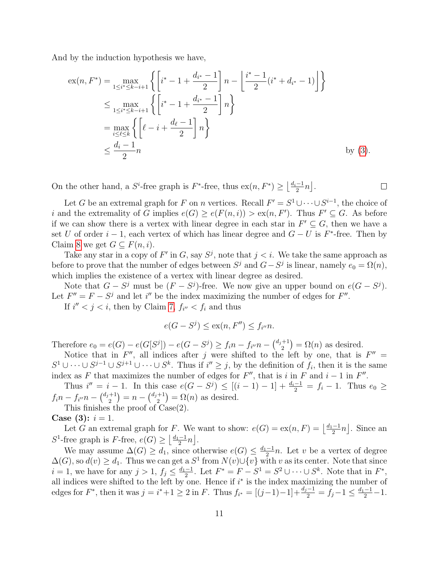And by the induction hypothesis we have,

$$
\begin{split} \n\exp(n, F^*) &= \max_{1 \le i^* \le k - i + 1} \left\{ \left[ i^* - 1 + \frac{d_{i^*} - 1}{2} \right] n - \left[ \frac{i^* - 1}{2} (i^* + d_{i^*} - 1) \right] \right\} \\ \n&\le \max_{1 \le i^* \le k - i + 1} \left\{ \left[ i^* - 1 + \frac{d_{i^*} - 1}{2} \right] n \right\} \\ \n&= \max_{i \le \ell \le k} \left\{ \left[ \ell - i + \frac{d_{\ell} - 1}{2} \right] n \right\} \\ \n&\le \frac{d_i - 1}{2} n \qquad \text{by (3).} \n\end{split}
$$

On the other hand, a  $S^i$ -free graph is  $F^*$ -free, thus  $ex(n, F^*) \geq \left\lfloor \frac{d_i-1}{2}n \right\rfloor$ .

Let G be an extremal graph for F on n vertices. Recall  $F' = S^1 \cup \cdots \cup S^{i-1}$ , the choice of i and the extremality of G implies  $e(G) \ge e(F(n,i)) > \text{ex}(n, F')$ . Thus  $F' \subseteq G$ . As before if we can show there is a vertex with linear degree in each star in  $F' \subseteq G$ , then we have a set U of order  $i-1$ , each vertex of which has linear degree and  $G-U$  is  $F^*$ -free. Then by Claim [8](#page-9-1) we get  $G \subseteq F(n, i)$ .

 $\Box$ 

Take any star in a copy of F' in G, say  $S^j$ , note that  $j < i$ . We take the same approach as before to prove that the number of edges between  $S^j$  and  $G - S^j$  is linear, namely  $e_0 = \Omega(n)$ , which implies the existence of a vertex with linear degree as desired.

Note that  $G - S^j$  must be  $(F - S^j)$ -free. We now give an upper bound on  $e(G - S^j)$ . Let  $F'' = F - S^j$  and let i'' be the index maximizing the number of edges for  $F''$ .

If  $i'' < j < i$ , then by Claim [7,](#page-8-2)  $f_{i''} < f_i$  and thus

$$
e(G - S^j) \le \operatorname{ex}(n, F'') \le f_{i''} n.
$$

Therefore  $e_0 = e(G) - e(G[S^j]) - e(G - S^j) \geq f_i n - f_{i''} n - {d_j + 1 \choose 2}$  $\binom{+1}{2} = \Omega(n)$  as desired.

Notice that in  $F''$ , all indices after j were shifted to the left by one, that is  $F'' =$  $S^1 \cup \cdots \cup S^{j-1} \cup S^{j+1} \cup \cdots \cup S^k$ . Thus if  $i'' \geq j$ , by the definition of  $f_i$ , then it is the same index as F that maximizes the number of edges for  $F''$ , that is i in F and  $i - 1$  in  $F''$ .

Thus  $i'' = i - 1$ . In this case  $e(G - S^j) \leq [(i - 1) - 1] + \frac{d_i - 1}{2} = f_i - 1$ . Thus  $e_0 \geq$  $f_i n - f_{i''} n - {d_j+1 \choose 2}$  $\binom{+1}{2}$  =  $n - \binom{d_j+1}{2}$  $\binom{+1}{2} = \Omega(n)$  as desired.

This finishes the proof of Case(2).

Case (3):  $i = 1$ .

Let G an extremal graph for F. We want to show:  $e(G) = ex(n, F) = \left\lfloor \frac{d_1 - 1}{2}n \right\rfloor$ . Since an S<sup>1</sup>-free graph is F-free,  $e(G) \geq \left\lfloor \frac{d_1-1}{2}n \right\rfloor$ .

We may assume  $\Delta(G) \geq d_1$ , since otherwise  $e(G) \leq \frac{d_1-1}{2}n$ . Let v be a vertex of degree  $\Delta(G)$ , so  $d(v) \geq d_1$ . Thus we can get a  $S^1$  from  $N(v) \cup \{v\}$  with v as its center. Note that since  $i = 1$ , we have for any  $j > 1$ ,  $f_j \le \frac{d_1 - 1}{2}$ . Let  $F^* = F - S^1 = S^2 \cup \cdots \cup S^k$ . Note that in  $F^*$ , all indices were shifted to the left by one. Hence if  $i^*$  is the index maximizing the number of edges for  $F^*$ , then it was  $j = i^* + 1 \ge 2$  in  $F$ . Thus  $f_{i^*} = [(j-1)-1] + \frac{d_j - 1}{2} = \overline{f}_j - 1 \le \frac{d_1 - 1}{2} - 1$ .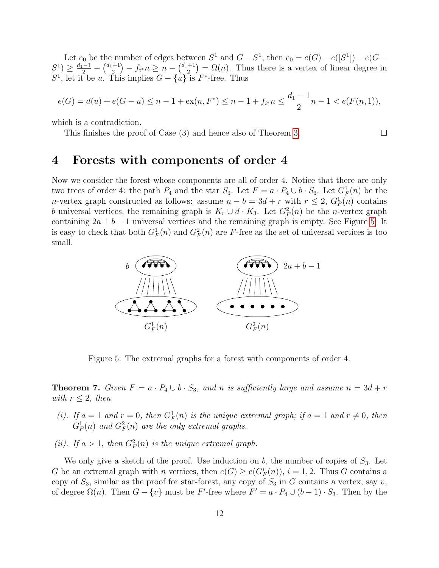Let  $e_0$  be the number of edges between  $S^1$  and  $G - S^1$ , then  $e_0 = e(G) - e([S^1]) - e(G - G)$  $S^1$ )  $\geq \frac{d_1-1}{2} - \left(\frac{d_1+1}{2}\right)$  $\binom{+1}{2} - f_{i^*} n \geq n - \binom{d_1+1}{2}$  $\binom{+1}{2} = \Omega(n)$ . Thus there is a vertex of linear degree in  $S^1$ , let it be u. This implies  $G - \{u\}$  is  $F^*$ -free. Thus

$$
e(G) = d(u) + e(G - u) \le n - 1 + \operatorname{ex}(n, F^*) \le n - 1 + f_{i^*} n \le \frac{d_1 - 1}{2} n - 1 < e(F(n, 1)),
$$

 $\Box$ 

which is a contradiction.

This finishes the proof of Case (3) and hence also of Theorem [3.](#page-2-0)

# 4 Forests with components of order 4

Now we consider the forest whose components are all of order 4. Notice that there are only two trees of order 4: the path  $P_4$  and the star  $S_3$ . Let  $F = a \cdot P_4 \cup b \cdot S_3$ . Let  $G_F^1(n)$  be the n-vertex graph constructed as follows: assume  $n - b = 3d + r$  with  $r \leq 2$ ,  $G_F^1(n)$  contains b universal vertices, the remaining graph is  $K_r \cup d \cdot K_3$ . Let  $G_F^2(n)$  be the *n*-vertex graph containing  $2a + b - 1$  universal vertices and the remaining graph is empty. See Figure [5.](#page-11-0) It is easy to check that both  $G_F^1(n)$  and  $G_F^2(n)$  are F-free as the set of universal vertices is too small.



<span id="page-11-0"></span>Figure 5: The extremal graphs for a forest with components of order 4.

**Theorem 7.** Given  $F = a \cdot P_4 \cup b \cdot S_3$ , and n is sufficiently large and assume  $n = 3d + r$ with  $r \leq 2$ , then

- (i). If  $a = 1$  and  $r = 0$ , then  $G_F^1(n)$  is the unique extremal graph; if  $a = 1$  and  $r \neq 0$ , then  $G_F^1(n)$  and  $G_F^2(n)$  are the only extremal graphs.
- (ii). If  $a > 1$ , then  $G_F^2(n)$  is the unique extremal graph.

We only give a sketch of the proof. Use induction on b, the number of copies of  $S_3$ . Let G be an extremal graph with n vertices, then  $e(G) \ge e(G_F^i(n)), i = 1, 2$ . Thus G contains a copy of  $S_3$ , similar as the proof for star-forest, any copy of  $S_3$  in G contains a vertex, say v, of degree  $\Omega(n)$ . Then  $G - \{v\}$  must be F'-free where  $F' = a \cdot P_4 \cup (b-1) \cdot S_3$ . Then by the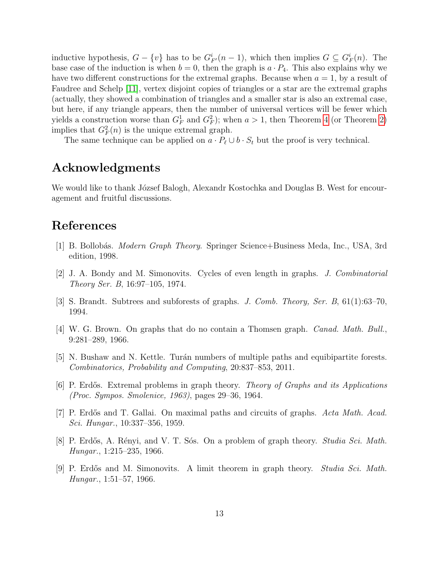inductive hypothesis,  $G - \{v\}$  has to be  $G_{F'}^i(n-1)$ , which then implies  $G \subseteq G_F^i(n)$ . The base case of the induction is when  $b = 0$ , then the graph is  $a \cdot P_4$ . This also explains why we have two different constructions for the extremal graphs. Because when  $a = 1$ , by a result of Faudree and Schelp [\[11\]](#page-13-8), vertex disjoint copies of triangles or a star are the extremal graphs (actually, they showed a combination of triangles and a smaller star is also an extremal case, but here, if any triangle appears, then the number of universal vertices will be fewer which yields a construction worse than  $G_F^1$  and  $G_F^2$ ); when  $a > 1$ , then Theorem [4](#page-2-2) (or Theorem [2\)](#page-1-0) implies that  $G_F^2(n)$  is the unique extremal graph.

The same technique can be applied on  $a \cdot P_\ell \cup b \cdot S_t$  but the proof is very technical.

## Acknowledgments

We would like to thank József Balogh, Alexandr Kostochka and Douglas B. West for encouragement and fruitful discussions.

## References

- <span id="page-12-0"></span>[1] B. Bollobás. *Modern Graph Theory*. Springer Science+Business Meda, Inc., USA, 3rd edition, 1998.
- <span id="page-12-4"></span>[2] J. A. Bondy and M. Simonovits. Cycles of even length in graphs. J. Combinatorial Theory Ser. B, 16:97–105, 1974.
- <span id="page-12-7"></span>[3] S. Brandt. Subtrees and subforests of graphs. J. Comb. Theory, Ser. B, 61(1):63–70, 1994.
- <span id="page-12-3"></span>[4] W. G. Brown. On graphs that do no contain a Thomsen graph. Canad. Math. Bull., 9:281–289, 1966.
- <span id="page-12-8"></span>[5] N. Bushaw and N. Kettle. Turán numbers of multiple paths and equibipartite forests. Combinatorics, Probability and Computing, 20:837–853, 2011.
- <span id="page-12-6"></span>[6] P. Erdős. Extremal problems in graph theory. Theory of Graphs and its Applications (Proc. Sympos. Smolenice, 1963), pages 29–36, 1964.
- <span id="page-12-5"></span>[7] P. Erdős and T. Gallai. On maximal paths and circuits of graphs. Acta Math. Acad. Sci. Hungar., 10:337–356, 1959.
- <span id="page-12-2"></span>[8] P. Erdős, A. Rényi, and V. T. Sós. On a problem of graph theory. *Studia Sci. Math.* Hungar., 1:215–235, 1966.
- <span id="page-12-1"></span>[9] P. Erdős and M. Simonovits. A limit theorem in graph theory. Studia Sci. Math. Hungar., 1:51–57, 1966.